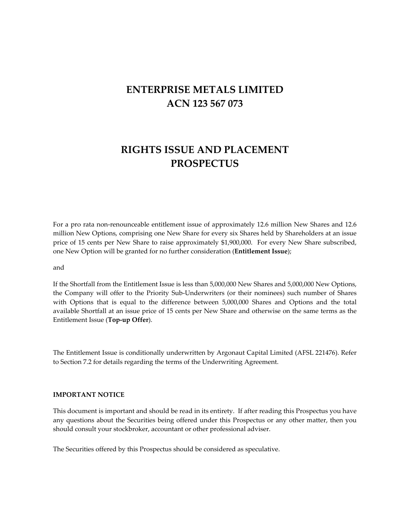# **ENTERPRISE METALS LIMITED ACN 123 567 073**

# **RIGHTS ISSUE AND PLACEMENT PROSPECTUS**

For a pro rata non-renounceable entitlement issue of approximately 12.6 million New Shares and 12.6 million New Options, comprising one New Share for every six Shares held by Shareholders at an issue price of 15 cents per New Share to raise approximately \$1,900,000. For every New Share subscribed, one New Option will be granted for no further consideration (**Entitlement Issue**);

and

If the Shortfall from the Entitlement Issue is less than 5,000,000 New Shares and 5,000,000 New Options, the Company will offer to the Priority Sub‐Underwriters (or their nominees) such number of Shares with Options that is equal to the difference between 5,000,000 Shares and Options and the total available Shortfall at an issue price of 15 cents per New Share and otherwise on the same terms as the Entitlement Issue (**Top‐up Offer**).

The Entitlement Issue is conditionally underwritten by Argonaut Capital Limited (AFSL 221476). Refer to Section 7.2 for details regarding the terms of the Underwriting Agreement.

#### **IMPORTANT NOTICE**

This document is important and should be read in its entirety. If after reading this Prospectus you have any questions about the Securities being offered under this Prospectus or any other matter, then you should consult your stockbroker, accountant or other professional adviser.

The Securities offered by this Prospectus should be considered as speculative.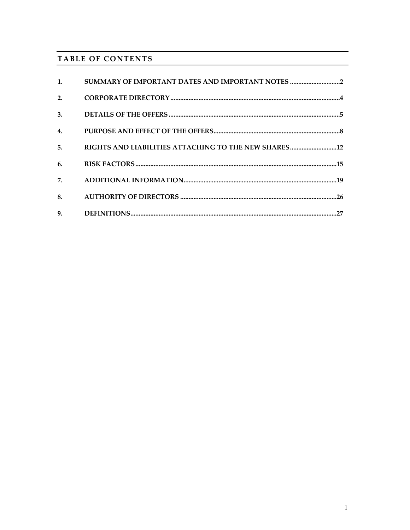# TABLE OF CONTENTS

| 1.             | SUMMARY OF IMPORTANT DATES AND IMPORTANT NOTES |
|----------------|------------------------------------------------|
| 2.             |                                                |
| 3.             |                                                |
| 4.             |                                                |
| 5 <sub>1</sub> |                                                |
| 6.             |                                                |
| 7.             |                                                |
| 8.             |                                                |
| 9.             |                                                |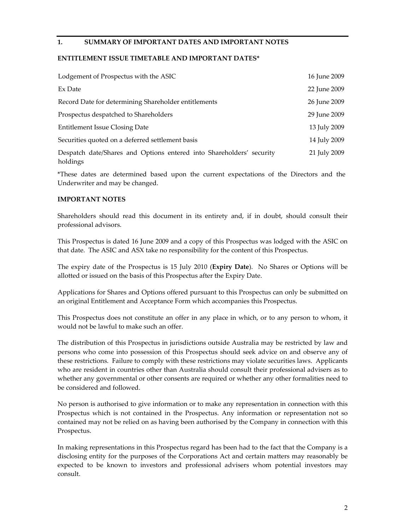## **1. SUMMARY OF IMPORTANT DATES AND IMPORTANT NOTES**

#### **ENTITLEMENT ISSUE TIMETABLE AND IMPORTANT DATES\***

| Lodgement of Prospectus with the ASIC                                            | 16 June 2009 |
|----------------------------------------------------------------------------------|--------------|
| Ex Date                                                                          | 22 June 2009 |
| Record Date for determining Shareholder entitlements                             | 26 June 2009 |
| Prospectus despatched to Shareholders                                            | 29 June 2009 |
| Entitlement Issue Closing Date                                                   | 13 July 2009 |
| Securities quoted on a deferred settlement basis                                 | 14 July 2009 |
| Despatch date/Shares and Options entered into Shareholders' security<br>holdings | 21 July 2009 |

\*These dates are determined based upon the current expectations of the Directors and the Underwriter and may be changed.

#### **IMPORTANT NOTES**

Shareholders should read this document in its entirety and, if in doubt, should consult their professional advisors.

This Prospectus is dated 16 June 2009 and a copy of this Prospectus was lodged with the ASIC on that date. The ASIC and ASX take no responsibility for the content of this Prospectus.

The expiry date of the Prospectus is 15 July 2010 (**Expiry Date**). No Shares or Options will be allotted or issued on the basis of this Prospectus after the Expiry Date.

Applications for Shares and Options offered pursuant to this Prospectus can only be submitted on an original Entitlement and Acceptance Form which accompanies this Prospectus.

This Prospectus does not constitute an offer in any place in which, or to any person to whom, it would not be lawful to make such an offer.

The distribution of this Prospectus in jurisdictions outside Australia may be restricted by law and persons who come into possession of this Prospectus should seek advice on and observe any of these restrictions. Failure to comply with these restrictions may violate securities laws. Applicants who are resident in countries other than Australia should consult their professional advisers as to whether any governmental or other consents are required or whether any other formalities need to be considered and followed.

No person is authorised to give information or to make any representation in connection with this Prospectus which is not contained in the Prospectus. Any information or representation not so contained may not be relied on as having been authorised by the Company in connection with this Prospectus.

In making representations in this Prospectus regard has been had to the fact that the Company is a disclosing entity for the purposes of the Corporations Act and certain matters may reasonably be expected to be known to investors and professional advisers whom potential investors may consult.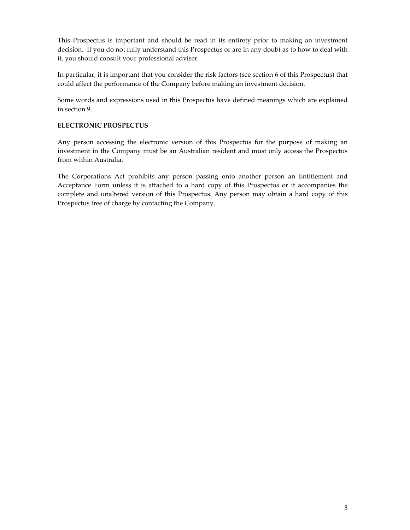This Prospectus is important and should be read in its entirety prior to making an investment decision. If you do not fully understand this Prospectus or are in any doubt as to how to deal with it, you should consult your professional adviser.

In particular, it is important that you consider the risk factors (see section 6 of this Prospectus) that could affect the performance of the Company before making an investment decision.

Some words and expressions used in this Prospectus have defined meanings which are explained in section 9.

## **ELECTRONIC PROSPECTUS**

Any person accessing the electronic version of this Prospectus for the purpose of making an investment in the Company must be an Australian resident and must only access the Prospectus from within Australia.

The Corporations Act prohibits any person passing onto another person an Entitlement and Acceptance Form unless it is attached to a hard copy of this Prospectus or it accompanies the complete and unaltered version of this Prospectus. Any person may obtain a hard copy of this Prospectus free of charge by contacting the Company.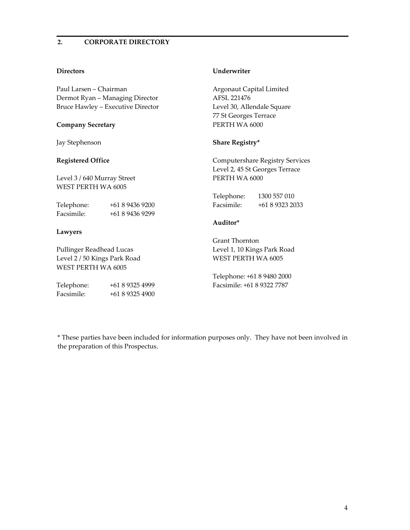## **2. CORPORATE DIRECTORY**

#### **Directors**

Paul Larsen – Chairman Dermot Ryan – Managing Director Bruce Hawley – Executive Director

#### **Company Secretary**

Jay Stephenson

#### **Registered Office**

Level 3 / 640 Murray Street WEST PERTH WA 6005

Telephone: +61 8 9436 9200 Facsimile: +61 8 9436 9299

#### **Lawyers**

Pullinger Readhead Lucas Level 2 / 50 Kings Park Road WEST PERTH WA 6005

| Telephone: | +61 8 9325 4999 |
|------------|-----------------|
| Facsimile: | +61 8 9325 4900 |

#### **Underwriter**

Argonaut Capital Limited AFSL 221476 Level 30, Allendale Square 77 St Georges Terrace PERTH WA 6000

#### **Share Registry\***

Computershare Registry Services Level 2, 45 St Georges Terrace PERTH WA 6000

| Telephone: | 1300 557 010   |
|------------|----------------|
| Facsimile: | $+61893232033$ |

#### **Auditor\***

Grant Thornton Level 1, 10 Kings Park Road WEST PERTH WA 6005

Telephone: +61 8 9480 2000 Facsimile: +61 8 9322 7787

\* These parties have been included for information purposes only. They have not been involved in the preparation of this Prospectus.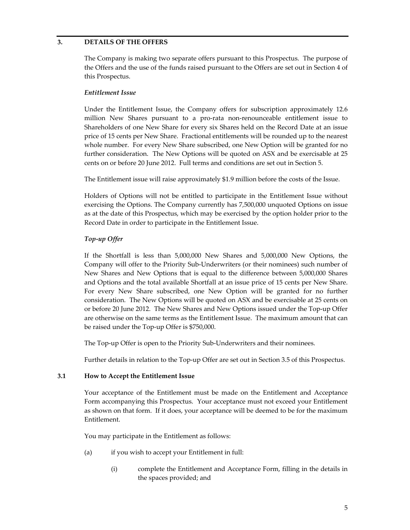## **3. DETAILS OF THE OFFERS**

The Company is making two separate offers pursuant to this Prospectus. The purpose of the Offers and the use of the funds raised pursuant to the Offers are set out in Section 4 of this Prospectus.

### *Entitlement Issue*

Under the Entitlement Issue, the Company offers for subscription approximately 12.6 million New Shares pursuant to a pro‐rata non‐renounceable entitlement issue to Shareholders of one New Share for every six Shares held on the Record Date at an issue price of 15 cents per New Share. Fractional entitlements will be rounded up to the nearest whole number. For every New Share subscribed, one New Option will be granted for no further consideration. The New Options will be quoted on ASX and be exercisable at 25 cents on or before 20 June 2012. Full terms and conditions are set out in Section 5.

The Entitlement issue will raise approximately \$1.9 million before the costs of the Issue.

Holders of Options will not be entitled to participate in the Entitlement Issue without exercising the Options. The Company currently has 7,500,000 unquoted Options on issue as at the date of this Prospectus, which may be exercised by the option holder prior to the Record Date in order to participate in the Entitlement Issue.

# *Top‐up Offer*

If the Shortfall is less than 5,000,000 New Shares and 5,000,000 New Options, the Company will offer to the Priority Sub‐Underwriters (or their nominees) such number of New Shares and New Options that is equal to the difference between 5,000,000 Shares and Options and the total available Shortfall at an issue price of 15 cents per New Share. For every New Share subscribed, one New Option will be granted for no further consideration. The New Options will be quoted on ASX and be exercisable at 25 cents on or before 20 June 2012. The New Shares and New Options issued under the Top-up Offer are otherwise on the same terms as the Entitlement Issue. The maximum amount that can be raised under the Top‐up Offer is \$750,000.

The Top-up Offer is open to the Priority Sub-Underwriters and their nominees.

Further details in relation to the Top‐up Offer are set out in Section 3.5 of this Prospectus.

#### **3.1 How to Accept the Entitlement Issue**

Your acceptance of the Entitlement must be made on the Entitlement and Acceptance Form accompanying this Prospectus. Your acceptance must not exceed your Entitlement as shown on that form. If it does, your acceptance will be deemed to be for the maximum Entitlement.

You may participate in the Entitlement as follows:

- (a) if you wish to accept your Entitlement in full:
	- (i) complete the Entitlement and Acceptance Form, filling in the details in the spaces provided; and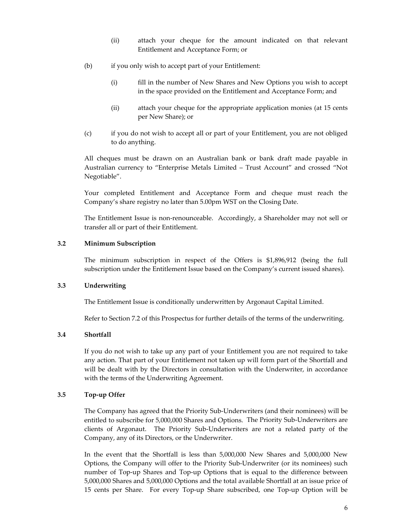- (ii) attach your cheque for the amount indicated on that relevant Entitlement and Acceptance Form; or
- (b) if you only wish to accept part of your Entitlement:
	- (i) fill in the number of New Shares and New Options you wish to accept in the space provided on the Entitlement and Acceptance Form; and
	- (ii) attach your cheque for the appropriate application monies (at 15 cents per New Share); or
- (c) if you do not wish to accept all or part of your Entitlement, you are not obliged to do anything.

All cheques must be drawn on an Australian bank or bank draft made payable in Australian currency to "Enterprise Metals Limited – Trust Account" and crossed "Not Negotiable".

Your completed Entitlement and Acceptance Form and cheque must reach the Company's share registry no later than 5.00pm WST on the Closing Date.

The Entitlement Issue is non-renounceable. Accordingly, a Shareholder may not sell or transfer all or part of their Entitlement.

#### **3.2 Minimum Subscription**

The minimum subscription in respect of the Offers is \$1,896,912 (being the full subscription under the Entitlement Issue based on the Company's current issued shares).

#### **3.3 Underwriting**

The Entitlement Issue is conditionally underwritten by Argonaut Capital Limited.

Refer to Section 7.2 of this Prospectus for further details of the terms of the underwriting.

## **3.4 Shortfall**

If you do not wish to take up any part of your Entitlement you are not required to take any action. That part of your Entitlement not taken up will form part of the Shortfall and will be dealt with by the Directors in consultation with the Underwriter, in accordance with the terms of the Underwriting Agreement.

## **3.5 Top‐up Offer**

The Company has agreed that the Priority Sub‐Underwriters (and their nominees) will be entitled to subscribe for 5,000,000 Shares and Options. The Priority Sub-Underwriters are clients of Argonaut. The Priority Sub‐Underwriters are not a related party of the Company, any of its Directors, or the Underwriter.

In the event that the Shortfall is less than 5,000,000 New Shares and 5,000,000 New Options, the Company will offer to the Priority Sub‐Underwriter (or its nominees) such number of Top-up Shares and Top-up Options that is equal to the difference between 5,000,000 Shares and 5,000,000 Options and the total available Shortfall at an issue price of 15 cents per Share. For every Top-up Share subscribed, one Top-up Option will be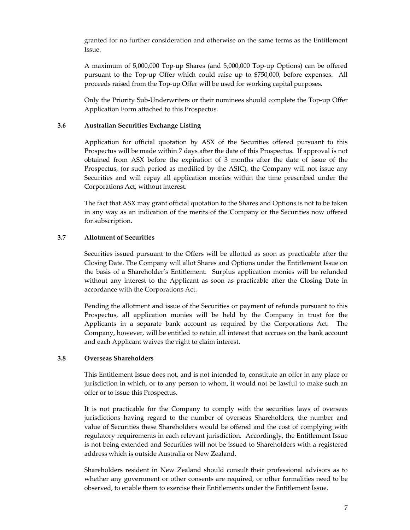granted for no further consideration and otherwise on the same terms as the Entitlement Issue.

A maximum of 5,000,000 Top‐up Shares (and 5,000,000 Top‐up Options) can be offered pursuant to the Top‐up Offer which could raise up to \$750,000, before expenses. All proceeds raised from the Top‐up Offer will be used for working capital purposes.

Only the Priority Sub‐Underwriters or their nominees should complete the Top‐up Offer Application Form attached to this Prospectus.

### **3.6 Australian Securities Exchange Listing**

Application for official quotation by ASX of the Securities offered pursuant to this Prospectus will be made within 7 days after the date of this Prospectus. If approval is not obtained from ASX before the expiration of 3 months after the date of issue of the Prospectus, (or such period as modified by the ASIC), the Company will not issue any Securities and will repay all application monies within the time prescribed under the Corporations Act, without interest.

The fact that ASX may grant official quotation to the Shares and Options is not to be taken in any way as an indication of the merits of the Company or the Securities now offered for subscription.

## **3.7 Allotment of Securities**

Securities issued pursuant to the Offers will be allotted as soon as practicable after the Closing Date. The Company will allot Shares and Options under the Entitlement Issue on the basis of a Shareholder's Entitlement. Surplus application monies will be refunded without any interest to the Applicant as soon as practicable after the Closing Date in accordance with the Corporations Act.

Pending the allotment and issue of the Securities or payment of refunds pursuant to this Prospectus, all application monies will be held by the Company in trust for the Applicants in a separate bank account as required by the Corporations Act. The Company, however, will be entitled to retain all interest that accrues on the bank account and each Applicant waives the right to claim interest.

#### **3.8 Overseas Shareholders**

This Entitlement Issue does not, and is not intended to, constitute an offer in any place or jurisdiction in which, or to any person to whom, it would not be lawful to make such an offer or to issue this Prospectus.

It is not practicable for the Company to comply with the securities laws of overseas jurisdictions having regard to the number of overseas Shareholders, the number and value of Securities these Shareholders would be offered and the cost of complying with regulatory requirements in each relevant jurisdiction. Accordingly, the Entitlement Issue is not being extended and Securities will not be issued to Shareholders with a registered address which is outside Australia or New Zealand.

Shareholders resident in New Zealand should consult their professional advisors as to whether any government or other consents are required, or other formalities need to be observed, to enable them to exercise their Entitlements under the Entitlement Issue.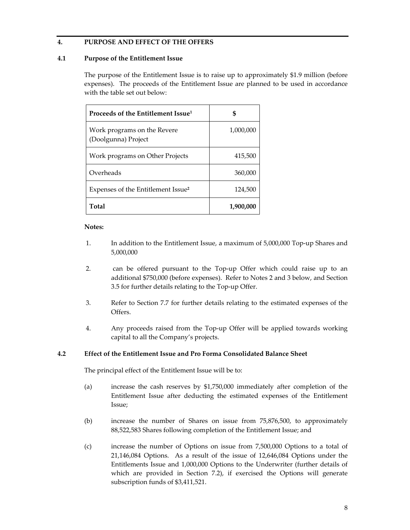## **4. PURPOSE AND EFFECT OF THE OFFERS**

#### **4.1 Purpose of the Entitlement Issue**

The purpose of the Entitlement Issue is to raise up to approximately \$1.9 million (before expenses). The proceeds of the Entitlement Issue are planned to be used in accordance with the table set out below:

| Proceeds of the Entitlement Issue <sup>1</sup>     | \$        |
|----------------------------------------------------|-----------|
| Work programs on the Revere<br>(Doolgunna) Project | 1,000,000 |
| Work programs on Other Projects                    | 415,500   |
| Overheads                                          | 360,000   |
| Expenses of the Entitlement Issue <sup>2</sup>     | 124,500   |
| Total                                              | 1,900,000 |

#### **Notes:**

- 1. In addition to the Entitlement Issue, a maximum of 5,000,000 Top-up Shares and 5,000,000
- 2. can be offered pursuant to the Top-up Offer which could raise up to an additional \$750,000 (before expenses). Refer to Notes 2 and 3 below, and Section 3.5 for further details relating to the Top‐up Offer.
- 3. Refer to Section 7.7 for further details relating to the estimated expenses of the Offers.
- 4. Any proceeds raised from the Top‐up Offer will be applied towards working capital to all the Company's projects.

#### **4.2 Effect of the Entitlement Issue and Pro Forma Consolidated Balance Sheet**

The principal effect of the Entitlement Issue will be to:

- (a) increase the cash reserves by \$1,750,000 immediately after completion of the Entitlement Issue after deducting the estimated expenses of the Entitlement Issue;
- (b) increase the number of Shares on issue from 75,876,500, to approximately 88,522,583 Shares following completion of the Entitlement Issue; and
- (c) increase the number of Options on issue from 7,500,000 Options to a total of 21,146,084 Options. As a result of the issue of 12,646,084 Options under the Entitlements Issue and 1,000,000 Options to the Underwriter (further details of which are provided in Section 7.2), if exercised the Options will generate subscription funds of \$3,411,521.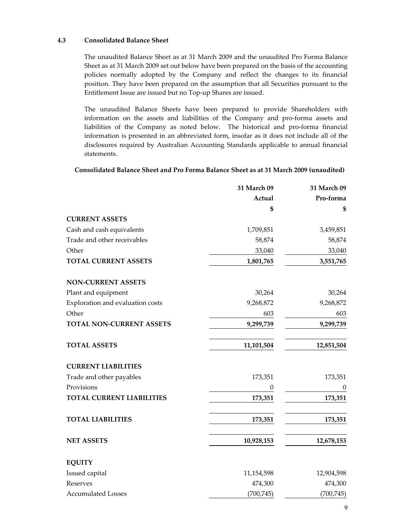### **4.3 Consolidated Balance Sheet**

The unaudited Balance Sheet as at 31 March 2009 and the unaudited Pro Forma Balance Sheet as at 31 March 2009 set out below have been prepared on the basis of the accounting policies normally adopted by the Company and reflect the changes to its financial position. They have been prepared on the assumption that all Securities pursuant to the Entitlement Issue are issued but no Top‐up Shares are issued.

The unaudited Balance Sheets have been prepared to provide Shareholders with information on the assets and liabilities of the Company and pro‐forma assets and liabilities of the Company as noted below. The historical and pro‐forma financial information is presented in an abbreviated form, insofar as it does not include all of the disclosures required by Australian Accounting Standards applicable to annual financial statements.

## **Consolidated Balance Sheet and Pro Forma Balance Sheet as at 31 March 2009 (unaudited)**

|                                  | 31 March 09  | 31 March 09      |
|----------------------------------|--------------|------------------|
|                                  | Actual       | Pro-forma        |
|                                  | \$           | \$               |
| <b>CURRENT ASSETS</b>            |              |                  |
| Cash and cash equivalents        | 1,709,851    | 3,459,851        |
| Trade and other receivables      | 58,874       | 58,874           |
| Other                            | 33,040       | 33,040           |
| <b>TOTAL CURRENT ASSETS</b>      | 1,801,765    | 3,551,765        |
| <b>NON-CURRENT ASSETS</b>        |              |                  |
| Plant and equipment              | 30,264       | 30,264           |
| Exploration and evaluation costs | 9,268,872    | 9,268,872        |
| Other                            | 603          | 603              |
| TOTAL NON-CURRENT ASSETS         | 9,299,739    | 9,299,739        |
| <b>TOTAL ASSETS</b>              | 11,101,504   | 12,851,504       |
| <b>CURRENT LIABILITIES</b>       |              |                  |
| Trade and other payables         | 173,351      | 173,351          |
| Provisions                       | 0            | $\boldsymbol{0}$ |
| <b>TOTAL CURRENT LIABILITIES</b> | 173,351      | 173,351          |
| <b>TOTAL LIABILITIES</b>         | 173,351      | 173,351          |
| <b>NET ASSETS</b>                | 10,928,153   | 12,678,153       |
| <b>EQUITY</b>                    |              |                  |
| Issued capital                   | 11, 154, 598 | 12,904,598       |
| Reserves                         | 474,300      | 474,300          |
| <b>Accumulated Losses</b>        | (700, 745)   | (700, 745)       |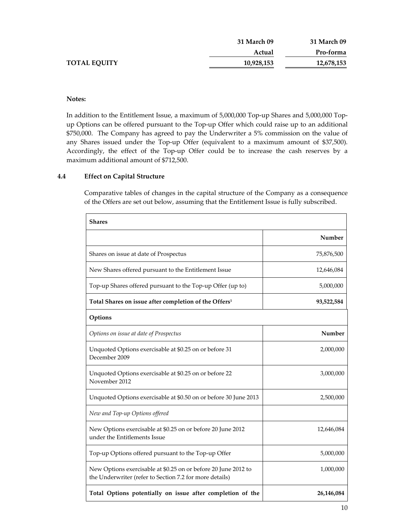|                     | <b>31 March 09</b> | <b>31 March 09</b> |
|---------------------|--------------------|--------------------|
|                     | Actual             | Pro-forma          |
| <b>TOTAL EQUITY</b> | 10,928,153         | 12,678,153         |

### **Notes:**

In addition to the Entitlement Issue, a maximum of 5,000,000 Top-up Shares and 5,000,000 Topup Options can be offered pursuant to the Top‐up Offer which could raise up to an additional \$750,000. The Company has agreed to pay the Underwriter a 5% commission on the value of any Shares issued under the Top-up Offer (equivalent to a maximum amount of \$37,500). Accordingly, the effect of the Top‐up Offer could be to increase the cash reserves by a maximum additional amount of \$712,500.

#### **4.4 Effect on Capital Structure**

Comparative tables of changes in the capital structure of the Company as a consequence of the Offers are set out below, assuming that the Entitlement Issue is fully subscribed.

| <b>Shares</b>                                                                                                             |            |
|---------------------------------------------------------------------------------------------------------------------------|------------|
|                                                                                                                           | Number     |
| Shares on issue at date of Prospectus                                                                                     | 75,876,500 |
| New Shares offered pursuant to the Entitlement Issue                                                                      | 12,646,084 |
| Top-up Shares offered pursuant to the Top-up Offer (up to)                                                                | 5,000,000  |
| Total Shares on issue after completion of the Offers <sup>1</sup>                                                         | 93,522,584 |
| Options                                                                                                                   |            |
| Options on issue at date of Prospectus                                                                                    | Number     |
| Unquoted Options exercisable at \$0.25 on or before 31<br>December 2009                                                   | 2,000,000  |
| Unquoted Options exercisable at \$0.25 on or before 22<br>November 2012                                                   | 3,000,000  |
| Unquoted Options exercisable at \$0.50 on or before 30 June 2013                                                          | 2,500,000  |
| New and Top-up Options offered                                                                                            |            |
| New Options exercisable at \$0.25 on or before 20 June 2012<br>under the Entitlements Issue                               | 12,646,084 |
| Top-up Options offered pursuant to the Top-up Offer                                                                       | 5,000,000  |
| New Options exercisable at \$0.25 on or before 20 June 2012 to<br>the Underwriter (refer to Section 7.2 for more details) | 1,000,000  |
| Total Options potentially on issue after completion of the                                                                | 26,146,084 |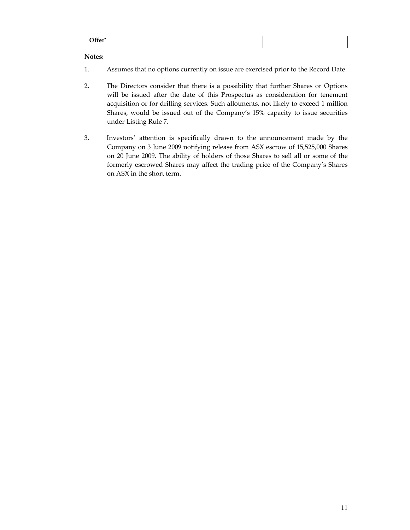|  | Offar2 |
|--|--------|
|--|--------|

## **Notes:**

- 1. Assumes that no options currently on issue are exercised prior to the Record Date.
- 2. The Directors consider that there is a possibility that further Shares or Options will be issued after the date of this Prospectus as consideration for tenement acquisition or for drilling services. Such allotments, not likely to exceed 1 million Shares, would be issued out of the Company's 15% capacity to issue securities under Listing Rule 7.
- 3. Investors' attention is specifically drawn to the announcement made by the Company on 3 June 2009 notifying release from ASX escrow of 15,525,000 Shares on 20 June 2009. The ability of holders of those Shares to sell all or some of the formerly escrowed Shares may affect the trading price of the Company's Shares on ASX in the short term.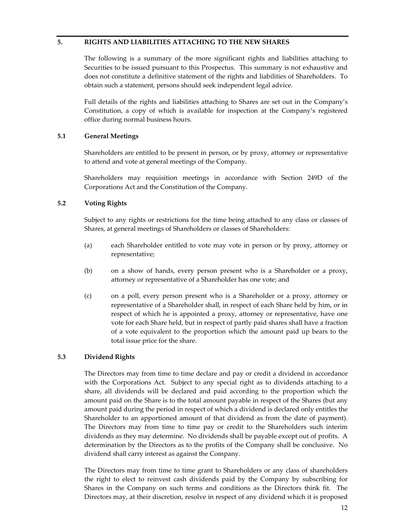## **5. RIGHTS AND LIABILITIES ATTACHING TO THE NEW SHARES**

The following is a summary of the more significant rights and liabilities attaching to Securities to be issued pursuant to this Prospectus. This summary is not exhaustive and does not constitute a definitive statement of the rights and liabilities of Shareholders. To obtain such a statement, persons should seek independent legal advice.

Full details of the rights and liabilities attaching to Shares are set out in the Company's Constitution, a copy of which is available for inspection at the Company's registered office during normal business hours.

# **5.1 General Meetings**

Shareholders are entitled to be present in person, or by proxy, attorney or representative to attend and vote at general meetings of the Company.

Shareholders may requisition meetings in accordance with Section 249D of the Corporations Act and the Constitution of the Company.

# **5.2 Voting Rights**

Subject to any rights or restrictions for the time being attached to any class or classes of Shares, at general meetings of Shareholders or classes of Shareholders:

- (a) each Shareholder entitled to vote may vote in person or by proxy, attorney or representative;
- (b) on a show of hands, every person present who is a Shareholder or a proxy, attorney or representative of a Shareholder has one vote; and
- (c) on a poll, every person present who is a Shareholder or a proxy, attorney or representative of a Shareholder shall, in respect of each Share held by him, or in respect of which he is appointed a proxy, attorney or representative, have one vote for each Share held, but in respect of partly paid shares shall have a fraction of a vote equivalent to the proportion which the amount paid up bears to the total issue price for the share.

# **5.3 Dividend Rights**

The Directors may from time to time declare and pay or credit a dividend in accordance with the Corporations Act. Subject to any special right as to dividends attaching to a share, all dividends will be declared and paid according to the proportion which the amount paid on the Share is to the total amount payable in respect of the Shares (but any amount paid during the period in respect of which a dividend is declared only entitles the Shareholder to an apportioned amount of that dividend as from the date of payment). The Directors may from time to time pay or credit to the Shareholders such interim dividends as they may determine. No dividends shall be payable except out of profits. A determination by the Directors as to the profits of the Company shall be conclusive. No dividend shall carry interest as against the Company.

The Directors may from time to time grant to Shareholders or any class of shareholders the right to elect to reinvest cash dividends paid by the Company by subscribing for Shares in the Company on such terms and conditions as the Directors think fit. The Directors may, at their discretion, resolve in respect of any dividend which it is proposed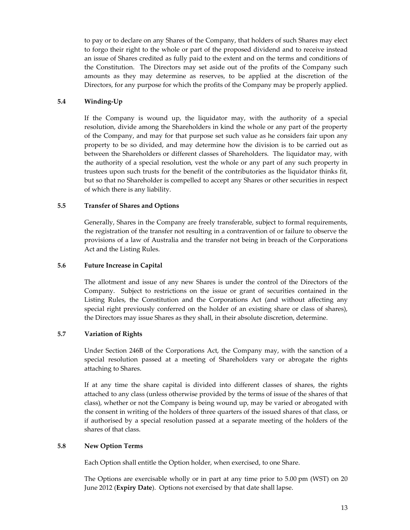to pay or to declare on any Shares of the Company, that holders of such Shares may elect to forgo their right to the whole or part of the proposed dividend and to receive instead an issue of Shares credited as fully paid to the extent and on the terms and conditions of the Constitution. The Directors may set aside out of the profits of the Company such amounts as they may determine as reserves, to be applied at the discretion of the Directors, for any purpose for which the profits of the Company may be properly applied.

## **5.4 Winding‐Up**

If the Company is wound up, the liquidator may, with the authority of a special resolution, divide among the Shareholders in kind the whole or any part of the property of the Company, and may for that purpose set such value as he considers fair upon any property to be so divided, and may determine how the division is to be carried out as between the Shareholders or different classes of Shareholders. The liquidator may, with the authority of a special resolution, vest the whole or any part of any such property in trustees upon such trusts for the benefit of the contributories as the liquidator thinks fit, but so that no Shareholder is compelled to accept any Shares or other securities in respect of which there is any liability.

#### **5.5 Transfer of Shares and Options**

Generally, Shares in the Company are freely transferable, subject to formal requirements, the registration of the transfer not resulting in a contravention of or failure to observe the provisions of a law of Australia and the transfer not being in breach of the Corporations Act and the Listing Rules.

### **5.6 Future Increase in Capital**

The allotment and issue of any new Shares is under the control of the Directors of the Company. Subject to restrictions on the issue or grant of securities contained in the Listing Rules, the Constitution and the Corporations Act (and without affecting any special right previously conferred on the holder of an existing share or class of shares), the Directors may issue Shares as they shall, in their absolute discretion, determine.

# **5.7 Variation of Rights**

Under Section 246B of the Corporations Act, the Company may, with the sanction of a special resolution passed at a meeting of Shareholders vary or abrogate the rights attaching to Shares.

If at any time the share capital is divided into different classes of shares, the rights attached to any class (unless otherwise provided by the terms of issue of the shares of that class), whether or not the Company is being wound up, may be varied or abrogated with the consent in writing of the holders of three quarters of the issued shares of that class, or if authorised by a special resolution passed at a separate meeting of the holders of the shares of that class.

# **5.8 New Option Terms**

Each Option shall entitle the Option holder, when exercised, to one Share.

The Options are exercisable wholly or in part at any time prior to 5.00 pm (WST) on 20 June 2012 (**Expiry Date**). Options not exercised by that date shall lapse.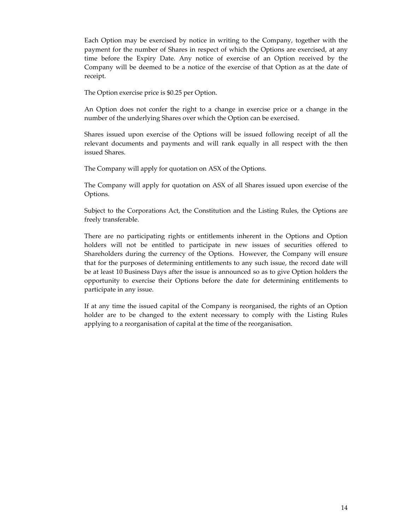Each Option may be exercised by notice in writing to the Company, together with the payment for the number of Shares in respect of which the Options are exercised, at any time before the Expiry Date. Any notice of exercise of an Option received by the Company will be deemed to be a notice of the exercise of that Option as at the date of receipt.

The Option exercise price is \$0.25 per Option.

An Option does not confer the right to a change in exercise price or a change in the number of the underlying Shares over which the Option can be exercised.

Shares issued upon exercise of the Options will be issued following receipt of all the relevant documents and payments and will rank equally in all respect with the then issued Shares.

The Company will apply for quotation on ASX of the Options.

The Company will apply for quotation on ASX of all Shares issued upon exercise of the Options.

Subject to the Corporations Act, the Constitution and the Listing Rules, the Options are freely transferable.

There are no participating rights or entitlements inherent in the Options and Option holders will not be entitled to participate in new issues of securities offered to Shareholders during the currency of the Options. However, the Company will ensure that for the purposes of determining entitlements to any such issue, the record date will be at least 10 Business Days after the issue is announced so as to give Option holders the opportunity to exercise their Options before the date for determining entitlements to participate in any issue.

If at any time the issued capital of the Company is reorganised, the rights of an Option holder are to be changed to the extent necessary to comply with the Listing Rules applying to a reorganisation of capital at the time of the reorganisation.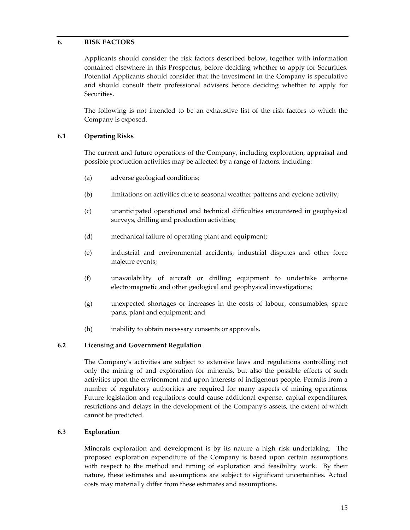# **6. RISK FACTORS**

Applicants should consider the risk factors described below, together with information contained elsewhere in this Prospectus, before deciding whether to apply for Securities. Potential Applicants should consider that the investment in the Company is speculative and should consult their professional advisers before deciding whether to apply for Securities.

The following is not intended to be an exhaustive list of the risk factors to which the Company is exposed.

## **6.1 Operating Risks**

The current and future operations of the Company, including exploration, appraisal and possible production activities may be affected by a range of factors, including:

- (a) adverse geological conditions;
- (b) limitations on activities due to seasonal weather patterns and cyclone activity;
- (c) unanticipated operational and technical difficulties encountered in geophysical surveys, drilling and production activities;
- (d) mechanical failure of operating plant and equipment;
- (e) industrial and environmental accidents, industrial disputes and other force majeure events;
- (f) unavailability of aircraft or drilling equipment to undertake airborne electromagnetic and other geological and geophysical investigations;
- (g) unexpected shortages or increases in the costs of labour, consumables, spare parts, plant and equipment; and
- (h) inability to obtain necessary consents or approvals.

#### **6.2 Licensing and Government Regulation**

The Companyʹs activities are subject to extensive laws and regulations controlling not only the mining of and exploration for minerals, but also the possible effects of such activities upon the environment and upon interests of indigenous people. Permits from a number of regulatory authorities are required for many aspects of mining operations. Future legislation and regulations could cause additional expense, capital expenditures, restrictions and delays in the development of the Companyʹs assets, the extent of which cannot be predicted.

#### **6.3 Exploration**

Minerals exploration and development is by its nature a high risk undertaking. The proposed exploration expenditure of the Company is based upon certain assumptions with respect to the method and timing of exploration and feasibility work. By their nature, these estimates and assumptions are subject to significant uncertainties. Actual costs may materially differ from these estimates and assumptions.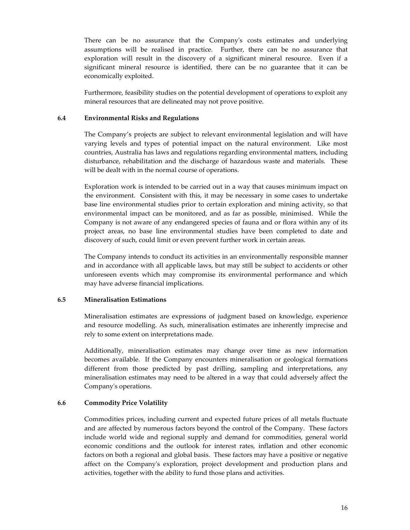There can be no assurance that the Company's costs estimates and underlying assumptions will be realised in practice. Further, there can be no assurance that exploration will result in the discovery of a significant mineral resource. Even if a significant mineral resource is identified, there can be no guarantee that it can be economically exploited.

Furthermore, feasibility studies on the potential development of operations to exploit any mineral resources that are delineated may not prove positive.

#### **6.4 Environmental Risks and Regulations**

The Company's projects are subject to relevant environmental legislation and will have varying levels and types of potential impact on the natural environment. Like most countries, Australia has laws and regulations regarding environmental matters, including disturbance, rehabilitation and the discharge of hazardous waste and materials. These will be dealt with in the normal course of operations.

Exploration work is intended to be carried out in a way that causes minimum impact on the environment. Consistent with this, it may be necessary in some cases to undertake base line environmental studies prior to certain exploration and mining activity, so that environmental impact can be monitored, and as far as possible, minimised. While the Company is not aware of any endangered species of fauna and or flora within any of its project areas, no base line environmental studies have been completed to date and discovery of such, could limit or even prevent further work in certain areas.

The Company intends to conduct its activities in an environmentally responsible manner and in accordance with all applicable laws, but may still be subject to accidents or other unforeseen events which may compromise its environmental performance and which may have adverse financial implications.

#### **6.5 Mineralisation Estimations**

Mineralisation estimates are expressions of judgment based on knowledge, experience and resource modelling. As such, mineralisation estimates are inherently imprecise and rely to some extent on interpretations made.

Additionally, mineralisation estimates may change over time as new information becomes available. If the Company encounters mineralisation or geological formations different from those predicted by past drilling, sampling and interpretations, any mineralisation estimates may need to be altered in a way that could adversely affect the Companyʹs operations.

#### **6.6 Commodity Price Volatility**

Commodities prices, including current and expected future prices of all metals fluctuate and are affected by numerous factors beyond the control of the Company. These factors include world wide and regional supply and demand for commodities, general world economic conditions and the outlook for interest rates, inflation and other economic factors on both a regional and global basis. These factors may have a positive or negative affect on the Companyʹs exploration, project development and production plans and activities, together with the ability to fund those plans and activities.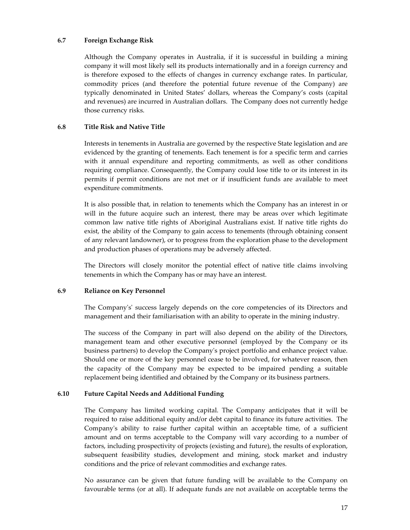## **6.7 Foreign Exchange Risk**

Although the Company operates in Australia, if it is successful in building a mining company it will most likely sell its products internationally and in a foreign currency and is therefore exposed to the effects of changes in currency exchange rates. In particular, commodity prices (and therefore the potential future revenue of the Company) are typically denominated in United States' dollars, whereas the Company's costs (capital and revenues) are incurred in Australian dollars. The Company does not currently hedge those currency risks.

# **6.8 Title Risk and Native Title**

Interests in tenements in Australia are governed by the respective State legislation and are evidenced by the granting of tenements. Each tenement is for a specific term and carries with it annual expenditure and reporting commitments, as well as other conditions requiring compliance. Consequently, the Company could lose title to or its interest in its permits if permit conditions are not met or if insufficient funds are available to meet expenditure commitments.

It is also possible that, in relation to tenements which the Company has an interest in or will in the future acquire such an interest, there may be areas over which legitimate common law native title rights of Aboriginal Australians exist. If native title rights do exist, the ability of the Company to gain access to tenements (through obtaining consent of any relevant landowner), or to progress from the exploration phase to the development and production phases of operations may be adversely affected.

The Directors will closely monitor the potential effect of native title claims involving tenements in which the Company has or may have an interest.

# **6.9 Reliance on Key Personnel**

The Company's' success largely depends on the core competencies of its Directors and management and their familiarisation with an ability to operate in the mining industry.

The success of the Company in part will also depend on the ability of the Directors, management team and other executive personnel (employed by the Company or its business partners) to develop the Companyʹs project portfolio and enhance project value. Should one or more of the key personnel cease to be involved, for whatever reason, then the capacity of the Company may be expected to be impaired pending a suitable replacement being identified and obtained by the Company or its business partners.

# **6.10 Future Capital Needs and Additional Funding**

The Company has limited working capital. The Company anticipates that it will be required to raise additional equity and/or debt capital to finance its future activities. The Companyʹs ability to raise further capital within an acceptable time, of a sufficient amount and on terms acceptable to the Company will vary according to a number of factors, including prospectivity of projects (existing and future), the results of exploration, subsequent feasibility studies, development and mining, stock market and industry conditions and the price of relevant commodities and exchange rates.

No assurance can be given that future funding will be available to the Company on favourable terms (or at all). If adequate funds are not available on acceptable terms the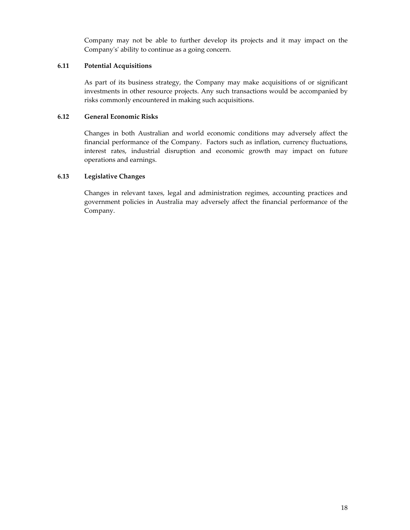Company may not be able to further develop its projects and it may impact on the Companyʹsʹ ability to continue as a going concern.

# **6.11 Potential Acquisitions**

As part of its business strategy, the Company may make acquisitions of or significant investments in other resource projects. Any such transactions would be accompanied by risks commonly encountered in making such acquisitions.

## **6.12 General Economic Risks**

Changes in both Australian and world economic conditions may adversely affect the financial performance of the Company. Factors such as inflation, currency fluctuations, interest rates, industrial disruption and economic growth may impact on future operations and earnings.

# **6.13 Legislative Changes**

Changes in relevant taxes, legal and administration regimes, accounting practices and government policies in Australia may adversely affect the financial performance of the Company.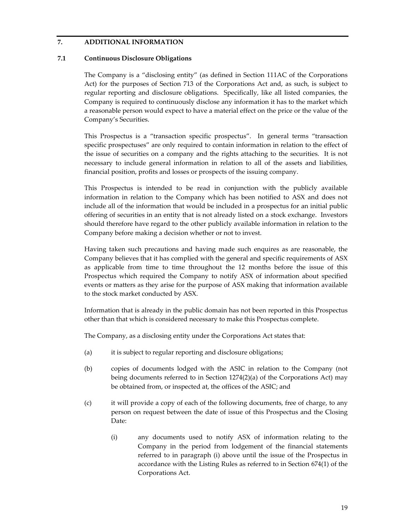# **7. ADDITIONAL INFORMATION**

## **7.1 Continuous Disclosure Obligations**

The Company is a "disclosing entity" (as defined in Section 111AC of the Corporations Act) for the purposes of Section 713 of the Corporations Act and, as such, is subject to regular reporting and disclosure obligations. Specifically, like all listed companies, the Company is required to continuously disclose any information it has to the market which a reasonable person would expect to have a material effect on the price or the value of the Company's Securities.

This Prospectus is a "transaction specific prospectus". In general terms "transaction specific prospectuses" are only required to contain information in relation to the effect of the issue of securities on a company and the rights attaching to the securities. It is not necessary to include general information in relation to all of the assets and liabilities, financial position, profits and losses or prospects of the issuing company.

This Prospectus is intended to be read in conjunction with the publicly available information in relation to the Company which has been notified to ASX and does not include all of the information that would be included in a prospectus for an initial public offering of securities in an entity that is not already listed on a stock exchange. Investors should therefore have regard to the other publicly available information in relation to the Company before making a decision whether or not to invest.

Having taken such precautions and having made such enquires as are reasonable, the Company believes that it has complied with the general and specific requirements of ASX as applicable from time to time throughout the 12 months before the issue of this Prospectus which required the Company to notify ASX of information about specified events or matters as they arise for the purpose of ASX making that information available to the stock market conducted by ASX.

Information that is already in the public domain has not been reported in this Prospectus other than that which is considered necessary to make this Prospectus complete.

The Company, as a disclosing entity under the Corporations Act states that:

- (a) it is subject to regular reporting and disclosure obligations;
- (b) copies of documents lodged with the ASIC in relation to the Company (not being documents referred to in Section 1274(2)(a) of the Corporations Act) may be obtained from, or inspected at, the offices of the ASIC; and
- (c) it will provide a copy of each of the following documents, free of charge, to any person on request between the date of issue of this Prospectus and the Closing Date:
	- (i) any documents used to notify ASX of information relating to the Company in the period from lodgement of the financial statements referred to in paragraph (i) above until the issue of the Prospectus in accordance with the Listing Rules as referred to in Section 674(1) of the Corporations Act.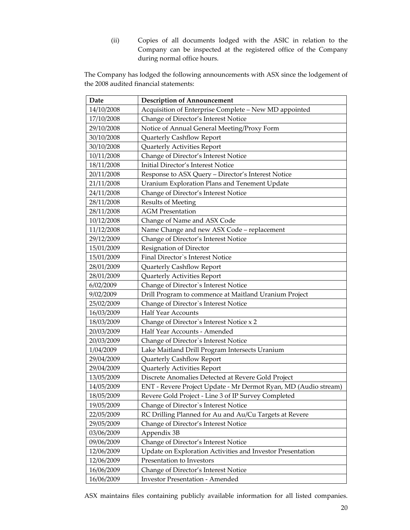(ii) Copies of all documents lodged with the ASIC in relation to the Company can be inspected at the registered office of the Company during normal office hours.

The Company has lodged the following announcements with ASX since the lodgement of the 2008 audited financial statements:

| Date       | <b>Description of Announcement</b>                              |
|------------|-----------------------------------------------------------------|
| 14/10/2008 | Acquisition of Enterprise Complete - New MD appointed           |
| 17/10/2008 | Change of Director's Interest Notice                            |
| 29/10/2008 | Notice of Annual General Meeting/Proxy Form                     |
| 30/10/2008 | Quarterly Cashflow Report                                       |
| 30/10/2008 | Quarterly Activities Report                                     |
| 10/11/2008 | Change of Director's Interest Notice                            |
| 18/11/2008 | Initial Director's Interest Notice                              |
| 20/11/2008 | Response to ASX Query - Director's Interest Notice              |
| 21/11/2008 | Uranium Exploration Plans and Tenement Update                   |
| 24/11/2008 | Change of Director's Interest Notice                            |
| 28/11/2008 | <b>Results of Meeting</b>                                       |
| 28/11/2008 | <b>AGM Presentation</b>                                         |
| 10/12/2008 | Change of Name and ASX Code                                     |
| 11/12/2008 | Name Change and new ASX Code - replacement                      |
| 29/12/2009 | Change of Director's Interest Notice                            |
| 15/01/2009 | Resignation of Director                                         |
| 15/01/2009 | Final Director's Interest Notice                                |
| 28/01/2009 | Quarterly Cashflow Report                                       |
| 28/01/2009 | Quarterly Activities Report                                     |
| 6/02/2009  | Change of Director's Interest Notice                            |
| 9/02/2009  | Drill Program to commence at Maitland Uranium Project           |
| 25/02/2009 | Change of Director's Interest Notice                            |
| 16/03/2009 | <b>Half Year Accounts</b>                                       |
| 18/03/2009 | Change of Director's Interest Notice x 2                        |
| 20/03/2009 | Half Year Accounts - Amended                                    |
| 20/03/2009 | Change of Director's Interest Notice                            |
| 1/04/2009  | Lake Maitland Drill Program Intersects Uranium                  |
| 29/04/2009 | Quarterly Cashflow Report                                       |
| 29/04/2009 | Quarterly Activities Report                                     |
| 13/05/2009 | Discrete Anomalies Detected at Revere Gold Project              |
| 14/05/2009 | ENT - Revere Project Update - Mr Dermot Ryan, MD (Audio stream) |
| 18/05/2009 | Revere Gold Project - Line 3 of IP Survey Completed             |
| 19/05/2009 | Change of Director's Interest Notice                            |
| 22/05/2009 | RC Drilling Planned for Au and Au/Cu Targets at Revere          |
| 29/05/2009 | Change of Director's Interest Notice                            |
| 03/06/2009 | Appendix 3B                                                     |
| 09/06/2009 | Change of Director's Interest Notice                            |
| 12/06/2009 | Update on Exploration Activities and Investor Presentation      |
| 12/06/2009 | Presentation to Investors                                       |
| 16/06/2009 | Change of Director's Interest Notice                            |
| 16/06/2009 | <b>Investor Presentation - Amended</b>                          |

ASX maintains files containing publicly available information for all listed companies.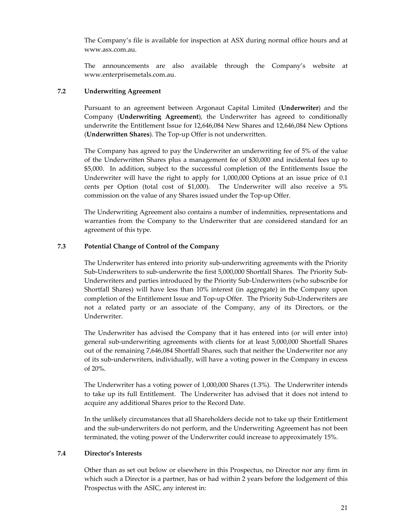The Company's file is available for inspection at ASX during normal office hours and at www.asx.com.au.

The announcements are also available through the Company's website at www.enterprisemetals.com.au.

### **7.2 Underwriting Agreement**

Pursuant to an agreement between Argonaut Capital Limited (**Underwriter**) and the Company (**Underwriting Agreement**), the Underwriter has agreed to conditionally underwrite the Entitlement Issue for 12,646,084 New Shares and 12,646,084 New Options (**Underwritten Shares**). The Top‐up Offer is not underwritten.

The Company has agreed to pay the Underwriter an underwriting fee of 5% of the value of the Underwritten Shares plus a management fee of \$30,000 and incidental fees up to \$5,000. In addition, subject to the successful completion of the Entitlements Issue the Underwriter will have the right to apply for 1,000,000 Options at an issue price of 0.1 cents per Option (total cost of \$1,000). The Underwriter will also receive a 5% commission on the value of any Shares issued under the Top-up Offer.

The Underwriting Agreement also contains a number of indemnities, representations and warranties from the Company to the Underwriter that are considered standard for an agreement of this type.

## **7.3 Potential Change of Control of the Company**

The Underwriter has entered into priority sub-underwriting agreements with the Priority Sub-Underwriters to sub-underwrite the first 5,000,000 Shortfall Shares. The Priority Sub-Underwriters and parties introduced by the Priority Sub‐Underwriters (who subscribe for Shortfall Shares) will have less than 10% interest (in aggregate) in the Company upon completion of the Entitlement Issue and Top-up Offer. The Priority Sub-Underwriters are not a related party or an associate of the Company, any of its Directors, or the Underwriter.

The Underwriter has advised the Company that it has entered into (or will enter into) general sub‐underwriting agreements with clients for at least 5,000,000 Shortfall Shares out of the remaining 7,646,084 Shortfall Shares, such that neither the Underwriter nor any of its sub‐underwriters, individually, will have a voting power in the Company in excess of 20%.

The Underwriter has a voting power of 1,000,000 Shares (1.3%). The Underwriter intends to take up its full Entitlement. The Underwriter has advised that it does not intend to acquire any additional Shares prior to the Record Date.

In the unlikely circumstances that all Shareholders decide not to take up their Entitlement and the sub‐underwriters do not perform, and the Underwriting Agreement has not been terminated, the voting power of the Underwriter could increase to approximately 15%.

#### **7.4 Director's Interests**

Other than as set out below or elsewhere in this Prospectus, no Director nor any firm in which such a Director is a partner, has or had within 2 years before the lodgement of this Prospectus with the ASIC, any interest in: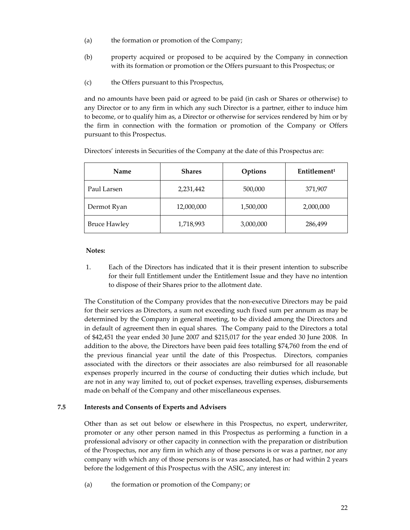- (a) the formation or promotion of the Company;
- (b) property acquired or proposed to be acquired by the Company in connection with its formation or promotion or the Offers pursuant to this Prospectus; or
- (c) the Offers pursuant to this Prospectus,

and no amounts have been paid or agreed to be paid (in cash or Shares or otherwise) to any Director or to any firm in which any such Director is a partner, either to induce him to become, or to qualify him as, a Director or otherwise for services rendered by him or by the firm in connection with the formation or promotion of the Company or Offers pursuant to this Prospectus.

| Name                | <b>Shares</b> | Options   | Entitlement <sup>1</sup> |
|---------------------|---------------|-----------|--------------------------|
| Paul Larsen         | 2,231,442     | 500,000   | 371,907                  |
| Dermot Ryan         | 12,000,000    | 1,500,000 | 2,000,000                |
| <b>Bruce Hawley</b> | 1,718,993     | 3,000,000 | 286,499                  |

Directors' interests in Securities of the Company at the date of this Prospectus are:

#### **Notes:**

1. Each of the Directors has indicated that it is their present intention to subscribe for their full Entitlement under the Entitlement Issue and they have no intention to dispose of their Shares prior to the allotment date.

The Constitution of the Company provides that the non‐executive Directors may be paid for their services as Directors, a sum not exceeding such fixed sum per annum as may be determined by the Company in general meeting, to be divided among the Directors and in default of agreement then in equal shares. The Company paid to the Directors a total of \$42,451 the year ended 30 June 2007 and \$215,017 for the year ended 30 June 2008. In addition to the above, the Directors have been paid fees totalling \$74,760 from the end of the previous financial year until the date of this Prospectus. Directors, companies associated with the directors or their associates are also reimbursed for all reasonable expenses properly incurred in the course of conducting their duties which include, but are not in any way limited to, out of pocket expenses, travelling expenses, disbursements made on behalf of the Company and other miscellaneous expenses.

# **7.5 Interests and Consents of Experts and Advisers**

Other than as set out below or elsewhere in this Prospectus, no expert, underwriter, promoter or any other person named in this Prospectus as performing a function in a professional advisory or other capacity in connection with the preparation or distribution of the Prospectus, nor any firm in which any of those persons is or was a partner, nor any company with which any of those persons is or was associated, has or had within 2 years before the lodgement of this Prospectus with the ASIC, any interest in:

(a) the formation or promotion of the Company; or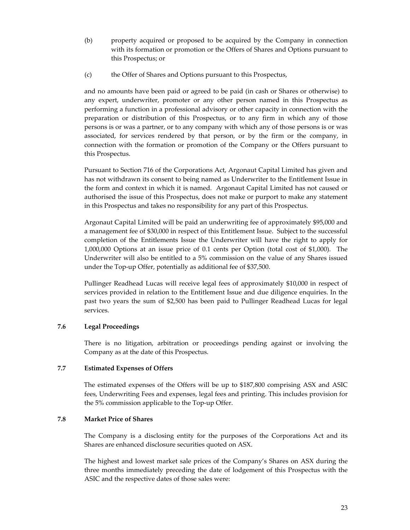- (b) property acquired or proposed to be acquired by the Company in connection with its formation or promotion or the Offers of Shares and Options pursuant to this Prospectus; or
- (c) the Offer of Shares and Options pursuant to this Prospectus,

and no amounts have been paid or agreed to be paid (in cash or Shares or otherwise) to any expert, underwriter, promoter or any other person named in this Prospectus as performing a function in a professional advisory or other capacity in connection with the preparation or distribution of this Prospectus, or to any firm in which any of those persons is or was a partner, or to any company with which any of those persons is or was associated, for services rendered by that person, or by the firm or the company, in connection with the formation or promotion of the Company or the Offers pursuant to this Prospectus.

Pursuant to Section 716 of the Corporations Act, Argonaut Capital Limited has given and has not withdrawn its consent to being named as Underwriter to the Entitlement Issue in the form and context in which it is named. Argonaut Capital Limited has not caused or authorised the issue of this Prospectus, does not make or purport to make any statement in this Prospectus and takes no responsibility for any part of this Prospectus.

Argonaut Capital Limited will be paid an underwriting fee of approximately \$95,000 and a management fee of \$30,000 in respect of this Entitlement Issue. Subject to the successful completion of the Entitlements Issue the Underwriter will have the right to apply for 1,000,000 Options at an issue price of 0.1 cents per Option (total cost of \$1,000). The Underwriter will also be entitled to a 5% commission on the value of any Shares issued under the Top‐up Offer, potentially as additional fee of \$37,500.

Pullinger Readhead Lucas will receive legal fees of approximately \$10,000 in respect of services provided in relation to the Entitlement Issue and due diligence enquiries. In the past two years the sum of \$2,500 has been paid to Pullinger Readhead Lucas for legal services.

# **7.6 Legal Proceedings**

There is no litigation, arbitration or proceedings pending against or involving the Company as at the date of this Prospectus.

#### **7.7 Estimated Expenses of Offers**

The estimated expenses of the Offers will be up to \$187,800 comprising ASX and ASIC fees, Underwriting Fees and expenses, legal fees and printing. This includes provision for the 5% commission applicable to the Top‐up Offer.

#### **7.8 Market Price of Shares**

The Company is a disclosing entity for the purposes of the Corporations Act and its Shares are enhanced disclosure securities quoted on ASX.

The highest and lowest market sale prices of the Company's Shares on ASX during the three months immediately preceding the date of lodgement of this Prospectus with the ASIC and the respective dates of those sales were: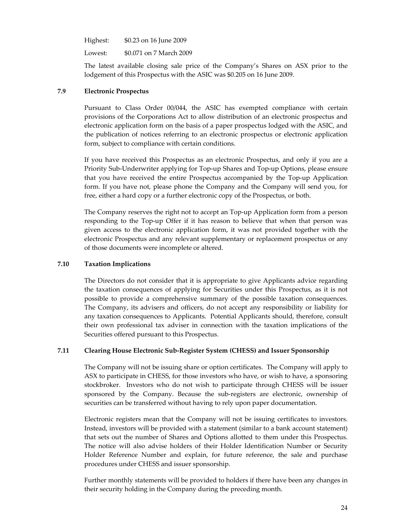| Highest: | \$0.23 on 16 June 2009 |
|----------|------------------------|
|----------|------------------------|

Lowest: \$0.071 on 7 March 2009

The latest available closing sale price of the Company's Shares on ASX prior to the lodgement of this Prospectus with the ASIC was \$0.205 on 16 June 2009.

### **7.9 Electronic Prospectus**

Pursuant to Class Order 00/044, the ASIC has exempted compliance with certain provisions of the Corporations Act to allow distribution of an electronic prospectus and electronic application form on the basis of a paper prospectus lodged with the ASIC, and the publication of notices referring to an electronic prospectus or electronic application form, subject to compliance with certain conditions.

If you have received this Prospectus as an electronic Prospectus, and only if you are a Priority Sub‐Underwriter applying for Top‐up Shares and Top‐up Options, please ensure that you have received the entire Prospectus accompanied by the Top‐up Application form. If you have not, please phone the Company and the Company will send you, for free, either a hard copy or a further electronic copy of the Prospectus, or both.

The Company reserves the right not to accept an Top-up Application form from a person responding to the Top-up Offer if it has reason to believe that when that person was given access to the electronic application form, it was not provided together with the electronic Prospectus and any relevant supplementary or replacement prospectus or any of those documents were incomplete or altered.

## **7.10 Taxation Implications**

The Directors do not consider that it is appropriate to give Applicants advice regarding the taxation consequences of applying for Securities under this Prospectus, as it is not possible to provide a comprehensive summary of the possible taxation consequences. The Company, its advisers and officers, do not accept any responsibility or liability for any taxation consequences to Applicants. Potential Applicants should, therefore, consult their own professional tax adviser in connection with the taxation implications of the Securities offered pursuant to this Prospectus.

#### **7.11 Clearing House Electronic Sub‐Register System (CHESS) and Issuer Sponsorship**

The Company will not be issuing share or option certificates. The Company will apply to ASX to participate in CHESS, for those investors who have, or wish to have, a sponsoring stockbroker. Investors who do not wish to participate through CHESS will be issuer sponsored by the Company. Because the sub-registers are electronic, ownership of securities can be transferred without having to rely upon paper documentation.

Electronic registers mean that the Company will not be issuing certificates to investors. Instead, investors will be provided with a statement (similar to a bank account statement) that sets out the number of Shares and Options allotted to them under this Prospectus. The notice will also advise holders of their Holder Identification Number or Security Holder Reference Number and explain, for future reference, the sale and purchase procedures under CHESS and issuer sponsorship.

Further monthly statements will be provided to holders if there have been any changes in their security holding in the Company during the preceding month.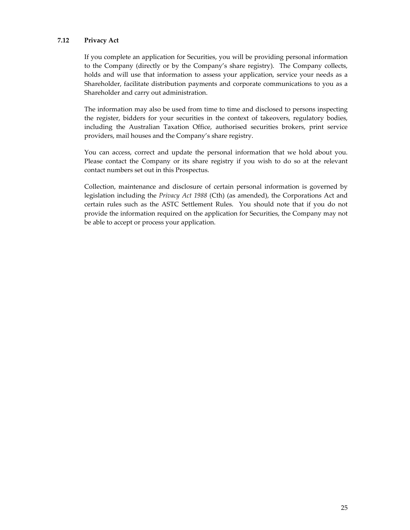## **7.12 Privacy Act**

If you complete an application for Securities, you will be providing personal information to the Company (directly or by the Company's share registry). The Company collects, holds and will use that information to assess your application, service your needs as a Shareholder, facilitate distribution payments and corporate communications to you as a Shareholder and carry out administration.

The information may also be used from time to time and disclosed to persons inspecting the register, bidders for your securities in the context of takeovers, regulatory bodies, including the Australian Taxation Office, authorised securities brokers, print service providers, mail houses and the Company's share registry.

You can access, correct and update the personal information that we hold about you. Please contact the Company or its share registry if you wish to do so at the relevant contact numbers set out in this Prospectus.

Collection, maintenance and disclosure of certain personal information is governed by legislation including the *Privacy Act 1988* (Cth) (as amended), the Corporations Act and certain rules such as the ASTC Settlement Rules. You should note that if you do not provide the information required on the application for Securities, the Company may not be able to accept or process your application.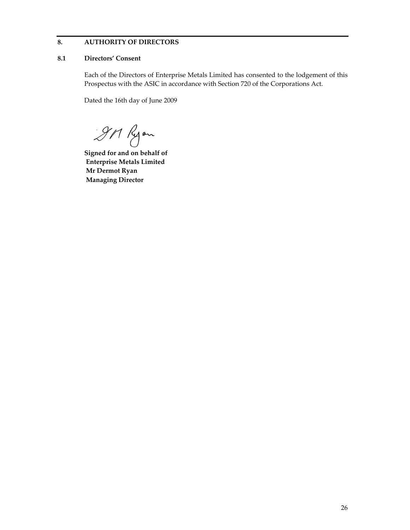# **8. AUTHORITY OF DIRECTORS**

#### **8.1 Directors' Consent**

Each of the Directors of Enterprise Metals Limited has consented to the lodgement of this Prospectus with the ASIC in accordance with Section 720 of the Corporations Act.

Dated the 16th day of June 2009

911 Ryon

**Signed for and on behalf of Enterprise Metals Limited Mr Dermot Ryan Managing Director**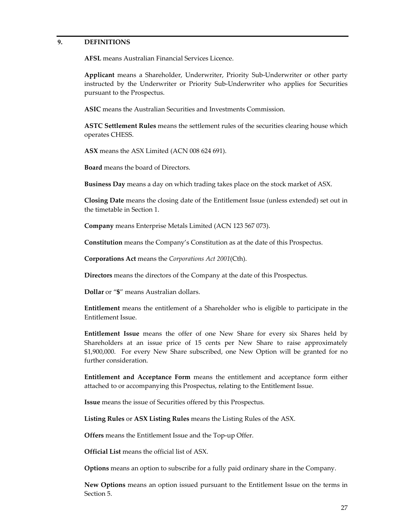## **9. DEFINITIONS**

**AFSL** means Australian Financial Services Licence.

**Applicant** means a Shareholder, Underwriter, Priority Sub‐Underwriter or other party instructed by the Underwriter or Priority Sub‐Underwriter who applies for Securities pursuant to the Prospectus.

**ASIC** means the Australian Securities and Investments Commission.

**ASTC Settlement Rules** means the settlement rules of the securities clearing house which operates CHESS.

**ASX** means the ASX Limited (ACN 008 624 691).

**Board** means the board of Directors.

**Business Day** means a day on which trading takes place on the stock market of ASX.

**Closing Date** means the closing date of the Entitlement Issue (unless extended) set out in the timetable in Section 1.

**Company** means Enterprise Metals Limited (ACN 123 567 073).

**Constitution** means the Company's Constitution as at the date of this Prospectus.

**Corporations Act** means the *Corporations Act 2001*(Cth).

**Directors** means the directors of the Company at the date of this Prospectus.

**Dollar** or "**\$**" means Australian dollars.

**Entitlement** means the entitlement of a Shareholder who is eligible to participate in the Entitlement Issue.

**Entitlement Issue** means the offer of one New Share for every six Shares held by Shareholders at an issue price of 15 cents per New Share to raise approximately \$1,900,000. For every New Share subscribed, one New Option will be granted for no further consideration.

**Entitlement and Acceptance Form** means the entitlement and acceptance form either attached to or accompanying this Prospectus, relating to the Entitlement Issue.

**Issue** means the issue of Securities offered by this Prospectus.

**Listing Rules** or **ASX Listing Rules** means the Listing Rules of the ASX.

**Offers** means the Entitlement Issue and the Top‐up Offer.

**Official List** means the official list of ASX.

**Options** means an option to subscribe for a fully paid ordinary share in the Company.

**New Options** means an option issued pursuant to the Entitlement Issue on the terms in Section 5.